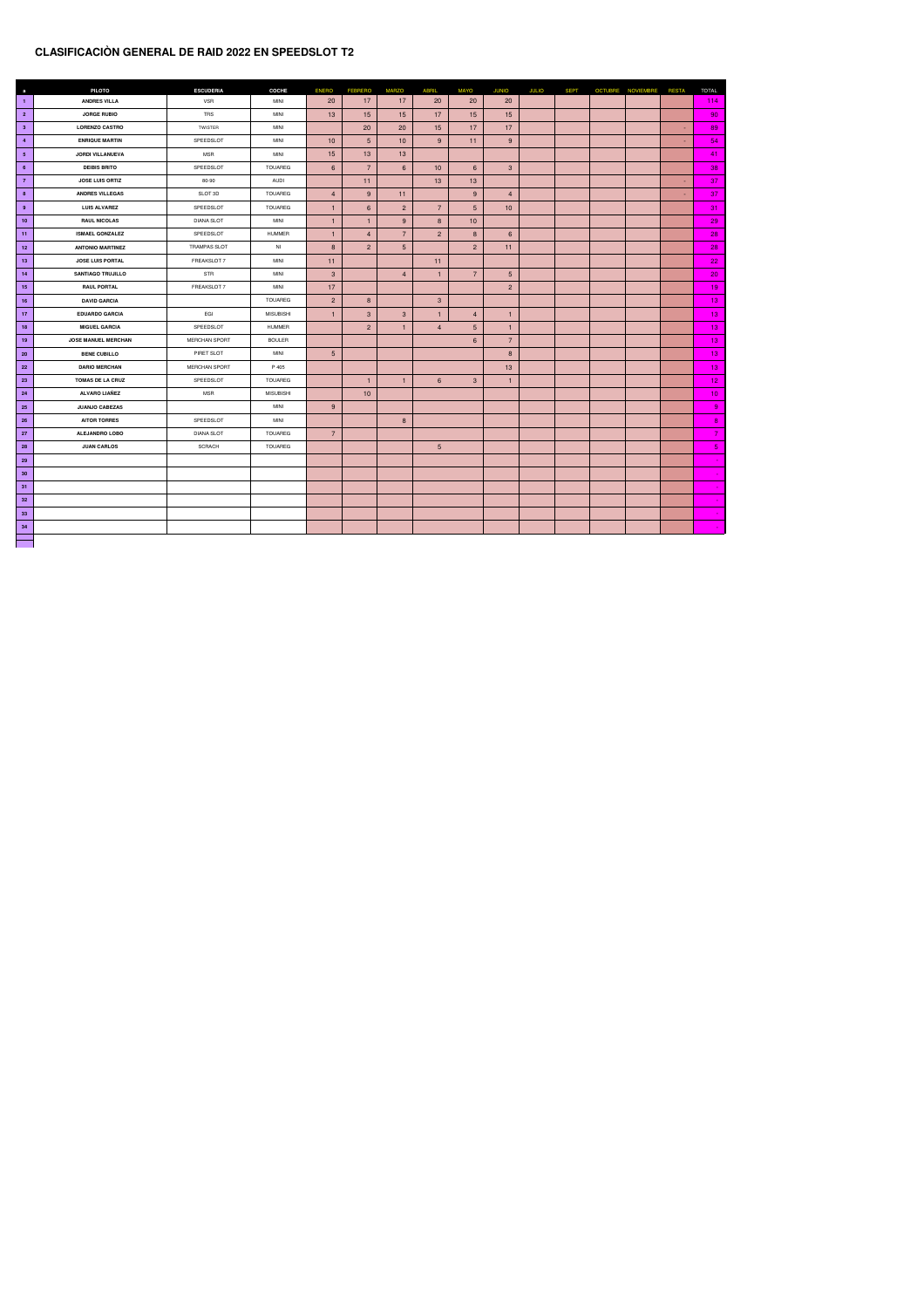## **CLASIFICACIÒN GENERAL DE RAID 2022 EN SPEEDSLOT T2**

| $\mathbf{a}$    | <b>PILOTO</b>              | <b>ESCUDERIA</b>    | <b>COCHE</b>     | <b>ENERO</b>    | <b>FEBRERO</b>   | <b>MARZO</b>     | <b>ABRIL</b>         | <b>MAYO</b>     | <b>JUNIO</b>    | <b>JULIO</b> | <b>SEPT</b> | OCTUBRE NOVIEMBRE | <b>RESTA</b> | <b>TOTAL</b>    |
|-----------------|----------------------------|---------------------|------------------|-----------------|------------------|------------------|----------------------|-----------------|-----------------|--------------|-------------|-------------------|--------------|-----------------|
| $\mathbf{1}$    | <b>ANDRES VILLA</b>        | <b>VSR</b>          | <b>MINI</b>      | 20              | 17               | 17               | 20                   | 20              | 20              |              |             |                   |              | 114             |
| $\overline{2}$  | <b>JORGE RUBIO</b>         | <b>TRS</b>          | <b>MINI</b>      | 13              | 15               | 15               | 17                   | 15              | 15              |              |             |                   |              | 90              |
| 3 <sup>2</sup>  | <b>LORENZO CASTRO</b>      | TWISTER             | <b>MINI</b>      |                 | 20               | 20               | 15                   | 17              | 17              |              |             |                   | $\sim$       | 89              |
| $\overline{4}$  | <b>ENRIQUE MARTIN</b>      | SPEEDSLOT           | <b>MINI</b>      | 10              | 5 <sup>5</sup>   | 10               | 9                    | 11              | 9               |              |             |                   | $\sim$       | 54              |
| 5 <sub>5</sub>  | <b>JORDI VILLANUEVA</b>    | <b>MSR</b>          | <b>MINI</b>      | 15              | 13               | 13               |                      |                 |                 |              |             |                   |              | 41              |
| 6               | <b>DEIBIS BRITO</b>        | SPEEDSLOT           | <b>TOUAREG</b>   | $6\overline{6}$ | $\overline{7}$   | $6 \overline{6}$ | 10                   | 6 <sup>1</sup>  | $\mathbf{3}$    |              |             |                   |              | 38              |
| $\overline{7}$  | <b>JOSE LUIS ORTIZ</b>     | 80-90               | <b>AUDI</b>      |                 | 11               |                  | 13                   | 13              |                 |              |             |                   | $\sim$       | 37              |
| 8               | <b>ANDRES VILLEGAS</b>     | SLOT 3D             | <b>TOUAREG</b>   | $\overline{4}$  | 9 <sup>°</sup>   | 11               |                      | 9               | $\overline{4}$  |              |             |                   | $\sim$       | 37              |
| 9               | <b>LUIS ALVAREZ</b>        | SPEEDSLOT           | <b>TOUAREG</b>   |                 | $6 \overline{6}$ | 2 <sup>1</sup>   | $\overline{7}$       | 5 <sup>5</sup>  | 10              |              |             |                   |              | 31              |
| 10 <sub>1</sub> | <b>RAUL NICOLAS</b>        | <b>DIANA SLOT</b>   | <b>MINI</b>      |                 |                  | 9 <sup>°</sup>   | 8                    | 10              |                 |              |             |                   |              | 29              |
| 11              | <b>ISMAEL GONZALEZ</b>     | SPEEDSLOT           | <b>HUMMER</b>    |                 | $\overline{4}$   | $\overline{7}$   | $\overline{2}$       | 8 <sup>°</sup>  | $6\overline{6}$ |              |             |                   |              | 28              |
| 12              | <b>ANTONIO MARTINEZ</b>    | <b>TRAMPAS SLOT</b> | NI               | 8               | $2^{\circ}$      | 5 <sup>5</sup>   |                      | $\overline{2}$  | 11              |              |             |                   |              | 28              |
| 13              | <b>JOSE LUIS PORTAL</b>    | FREAKSLOT 7         | <b>MINI</b>      | 11              |                  |                  | 11                   |                 |                 |              |             |                   |              | 22              |
| 14              | <b>SANTIAGO TRUJILLO</b>   | STR                 | <b>MINI</b>      | 3 <sup>5</sup>  |                  | $\overline{4}$   | 1                    | $\overline{7}$  | $5\overline{)}$ |              |             |                   |              | 20              |
| 15              | <b>RAUL PORTAL</b>         | FREAKSLOT 7         | <b>MINI</b>      | 17              |                  |                  |                      |                 | $2^{\circ}$     |              |             |                   |              | 19              |
| 16              | <b>DAVID GARCIA</b>        |                     | <b>TOUAREG</b>   | $\overline{2}$  | 8 <sup>°</sup>   |                  | $\mathbf{3}$         |                 |                 |              |             |                   |              | 13              |
| 17              | <b>EDUARDO GARCIA</b>      | EGI                 | <b>MISUBISHI</b> |                 | $\mathbf{3}$     | 3 <sup>5</sup>   | $\blacktriangleleft$ | $\overline{4}$  | $\mathbf 1$     |              |             |                   |              | 13              |
| 18              | <b>MIGUEL GARCIA</b>       | SPEEDSLOT           | HUMMER           |                 | 2 <sup>7</sup>   | $\vert$ 1        | $\overline{4}$       | 5 <sup>1</sup>  | $\vert$         |              |             |                   |              | 13 <sub>1</sub> |
| 19              | <b>JOSE MANUEL MERCHAN</b> | MERCHAN SPORT       | <b>BOULER</b>    |                 |                  |                  |                      | $6\overline{6}$ | $\overline{7}$  |              |             |                   |              | 13 <sub>1</sub> |
| 20 <sub>2</sub> | <b>BENE CUBILLO</b>        | PIRET SLOT          | <b>MINI</b>      | $5\overline{)}$ |                  |                  |                      |                 | 8               |              |             |                   |              | 13 <sub>1</sub> |
| <b>22</b>       | <b>DARIO MERCHAN</b>       | MERCHAN SPORT       | P 405            |                 |                  |                  |                      |                 | 13              |              |             |                   |              | 13              |
| 23              | <b>TOMAS DE LA CRUZ</b>    | SPEEDSLOT           | <b>TOUAREG</b>   |                 | -1               |                  | $6\overline{6}$      | 3 <sup>1</sup>  | $\mathbf{1}$    |              |             |                   |              | 12 <sub>2</sub> |
| 24              | <b>ALVARO LIAÑEZ</b>       | <b>MSR</b>          | <b>MISUBISHI</b> |                 | 10               |                  |                      |                 |                 |              |             |                   |              | 10 <sub>1</sub> |
| 25              | <b>JUANJO CABEZAS</b>      |                     | <b>MINI</b>      | 9               |                  |                  |                      |                 |                 |              |             |                   |              | 9 <sup>°</sup>  |
| 26              | <b>AITOR TORRES</b>        | SPEEDSLOT           | <b>MINI</b>      |                 |                  | 8                |                      |                 |                 |              |             |                   |              | 8 <sup>1</sup>  |
| 27              | <b>ALEJANDRO LOBO</b>      | <b>DIANA SLOT</b>   | <b>TOUAREG</b>   | $\overline{7}$  |                  |                  |                      |                 |                 |              |             |                   |              | $\overline{7}$  |
| 28              | <b>JUAN CARLOS</b>         | <b>SCRACH</b>       | <b>TOUAREG</b>   |                 |                  |                  | 5 <sup>5</sup>       |                 |                 |              |             |                   |              | 5 <sub>1</sub>  |
| 29              |                            |                     |                  |                 |                  |                  |                      |                 |                 |              |             |                   |              |                 |
| 30 <sub>o</sub> |                            |                     |                  |                 |                  |                  |                      |                 |                 |              |             |                   |              |                 |
| 31              |                            |                     |                  |                 |                  |                  |                      |                 |                 |              |             |                   |              |                 |
| 32              |                            |                     |                  |                 |                  |                  |                      |                 |                 |              |             |                   |              |                 |
| 33              |                            |                     |                  |                 |                  |                  |                      |                 |                 |              |             |                   |              |                 |
| 34              |                            |                     |                  |                 |                  |                  |                      |                 |                 |              |             |                   |              |                 |
|                 |                            |                     |                  |                 |                  |                  |                      |                 |                 |              |             |                   |              |                 |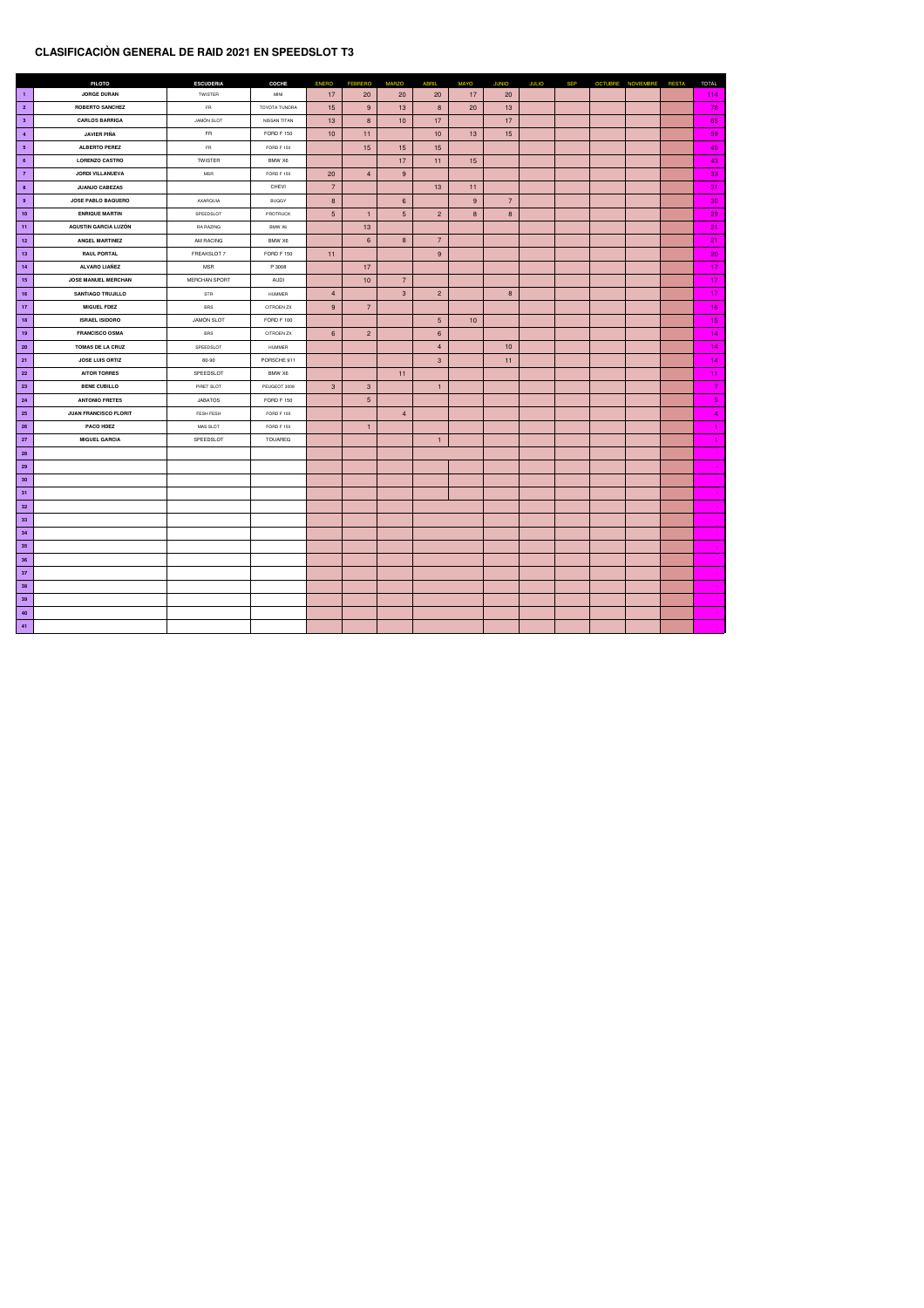### **CLASIFICACIÒN GENERAL DE RAID 2021 EN SPEEDSLOT T3**

|                 | <b>PILOTO</b>                | <b>ESCUDERIA</b>     | <b>COCHE</b>         | <b>ENERO</b>    | <b>FEBRERO</b>  | <b>MARZO</b>     | <b>ABRIL</b>    | <b>MAYO</b>    | <b>JUNIO</b>   | <b>JULIO</b> | <b>SEP</b> | OCTUBRE NOVIEMBRE RESTA | <b>TOTAL</b>    |
|-----------------|------------------------------|----------------------|----------------------|-----------------|-----------------|------------------|-----------------|----------------|----------------|--------------|------------|-------------------------|-----------------|
| $\blacksquare$  | <b>JORGE DURAN</b>           | TWISTER              | <b>MINI</b>          | 17              | 20              | 20               | 20              | 17             | 20             |              |            |                         | 114             |
| $\overline{2}$  | <b>ROBERTO SANCHEZ</b>       | <b>FR</b>            | <b>TOYOTA TUNDRA</b> | 15              | 9               | 13               | 8               | 20             | 13             |              |            |                         | 78              |
| 3 <sup>2</sup>  | <b>CARLOS BARRIGA</b>        | <b>JAMÓN SLOT</b>    | NISSAN TITAN         | 13              | 8 <sup>°</sup>  | 10               | 17              |                | 17             |              |            |                         | 65              |
| $\overline{4}$  | JAVIER PIÑA                  | <b>FR</b>            | <b>FORD F 150</b>    | 10              | 11              |                  | 10              | 13             | 15             |              |            |                         | 59              |
| 5 <sub>5</sub>  | <b>ALBERTO PEREZ</b>         | <b>FR</b>            | <b>FORD F 150</b>    |                 | 15              | 15               | 15              |                |                |              |            |                         | 45              |
| $6\overline{6}$ | <b>LORENZO CASTRO</b>        | <b>TWISTER</b>       | BMW X6               |                 |                 | 17               | 11              | 15             |                |              |            |                         | 43              |
| $\overline{7}$  | <b>JORDI VILLANUEVA</b>      | <b>MSR</b>           | <b>FORD F 150</b>    | 20              | $\overline{4}$  | 9                |                 |                |                |              |            |                         | 33              |
| 8               | <b>JUANJO CABEZAS</b>        |                      | <b>CHEVI</b>         | $\overline{7}$  |                 |                  | 13              | 11             |                |              |            |                         | 31              |
| 9               | <b>JOSE PABLO BAQUERO</b>    | AXARQUIA             | <b>BUGGY</b>         | 8               |                 | $6 \overline{6}$ |                 | 9 <sup>°</sup> | $\overline{7}$ |              |            |                         | 30              |
| 10              | <b>ENRIQUE MARTIN</b>        | SPEEDSLOT            | PROTRUCK             | $5\overline{)}$ |                 | 5 <sup>5</sup>   | $\overline{2}$  | 8              | 8              |              |            |                         | 29              |
| 11              | <b>AGUSTIN GARCIA LUZÓN</b>  | RA RAZING            | BMW X6               |                 | 13              |                  |                 |                |                |              |            |                         | 21              |
| 12              | <b>ANGEL MARTINEZ</b>        | AM RACING            | BMW X6               |                 | $6\overline{6}$ | 8                | $\overline{7}$  |                |                |              |            |                         | 21              |
| 13              | <b>RAUL PORTAL</b>           | FREAKSLOT 7          | <b>FORD F 150</b>    | 11              |                 |                  | 9               |                |                |              |            |                         | 20              |
| 14              | <b>ALVARO LIAÑEZ</b>         | <b>MSR</b>           | P 3008               |                 | 17              |                  |                 |                |                |              |            |                         | 17 <sub>2</sub> |
| 15              | <b>JOSE MANUEL MERCHAN</b>   | <b>MERCHAN SPORT</b> | AUDI                 |                 | 10              | $\overline{7}$   |                 |                |                |              |            |                         | 17 <sub>2</sub> |
| 16              | <b>SANTIAGO TRUJILLO</b>     | <b>STR</b>           | <b>HUMMER</b>        | $\overline{4}$  |                 | 3 <sup>°</sup>   | $\overline{2}$  |                | 8              |              |            |                         | 17              |
| 17              | <b>MIGUEL FDEZ</b>           | <b>BRS</b>           | <b>CITROEN ZX</b>    | 9               | $\overline{7}$  |                  |                 |                |                |              |            |                         | 16              |
| 18              | <b>ISRAEL ISIDORO</b>        | JAMÓN SLOT           | FORD F 100           |                 |                 |                  | 5 <sup>1</sup>  | 10             |                |              |            |                         | 15              |
| 19              | <b>FRANCISCO OSMA</b>        | <b>BRS</b>           | <b>CITROEN ZX</b>    | $6\overline{6}$ | 2 <sup>1</sup>  |                  | $6\overline{6}$ |                |                |              |            |                         | 14              |
| 20 <sub>2</sub> | <b>TOMAS DE LA CRUZ</b>      | SPEEDSLOT            | <b>HUMMER</b>        |                 |                 |                  | $\overline{4}$  |                | 10             |              |            |                         | 14              |
| 21              | <b>JOSE LUIS ORTIZ</b>       | 80-90                | PORSCHE 911          |                 |                 |                  | 3 <sup>5</sup>  |                | 11             |              |            |                         | 14              |
| 22              | <b>AITOR TORRES</b>          | SPEEDSLOT            | BMW X6               |                 |                 | 11               |                 |                |                |              |            |                         | 11              |
| 23              | <b>BENE CUBILLO</b>          | PIRET SLOT           | PEUGEOT 3008         | 3 <sup>1</sup>  | 3 <sup>1</sup>  |                  | -1              |                |                |              |            |                         | $\overline{7}$  |
| 24              | <b>ANTONIO FRETES</b>        | <b>JABATOS</b>       | <b>FORD F 150</b>    |                 | 5 <sup>5</sup>  |                  |                 |                |                |              |            |                         | 5 <sub>1</sub>  |
| <b>25</b>       | <b>JUAN FRANCISCO FLORIT</b> | FESH FESH            | <b>FORD F 100</b>    |                 |                 | $\overline{4}$   |                 |                |                |              |            |                         | 4               |
| 26              | <b>PACO HDEZ</b>             | <b>MAS SLOT</b>      | <b>FORD F 150</b>    |                 |                 |                  |                 |                |                |              |            |                         |                 |
| 27              | <b>MIGUEL GARCIA</b>         | SPEEDSLOT            | <b>TOUAREG</b>       |                 |                 |                  |                 |                |                |              |            |                         |                 |
| <b>28</b>       |                              |                      |                      |                 |                 |                  |                 |                |                |              |            |                         |                 |
| 29              |                              |                      |                      |                 |                 |                  |                 |                |                |              |            |                         |                 |
| 30 <sub>o</sub> |                              |                      |                      |                 |                 |                  |                 |                |                |              |            |                         | $\sim$          |
| 31              |                              |                      |                      |                 |                 |                  |                 |                |                |              |            |                         | $\sim$          |
| 32              |                              |                      |                      |                 |                 |                  |                 |                |                |              |            |                         |                 |
| 33              |                              |                      |                      |                 |                 |                  |                 |                |                |              |            |                         |                 |
| 34              |                              |                      |                      |                 |                 |                  |                 |                |                |              |            |                         |                 |
| 35              |                              |                      |                      |                 |                 |                  |                 |                |                |              |            |                         |                 |
| 36              |                              |                      |                      |                 |                 |                  |                 |                |                |              |            |                         |                 |
| 37              |                              |                      |                      |                 |                 |                  |                 |                |                |              |            |                         |                 |
| 38              |                              |                      |                      |                 |                 |                  |                 |                |                |              |            |                         |                 |
| 39              |                              |                      |                      |                 |                 |                  |                 |                |                |              |            |                         |                 |
| 40              |                              |                      |                      |                 |                 |                  |                 |                |                |              |            |                         |                 |
| 41              |                              |                      |                      |                 |                 |                  |                 |                |                |              |            |                         |                 |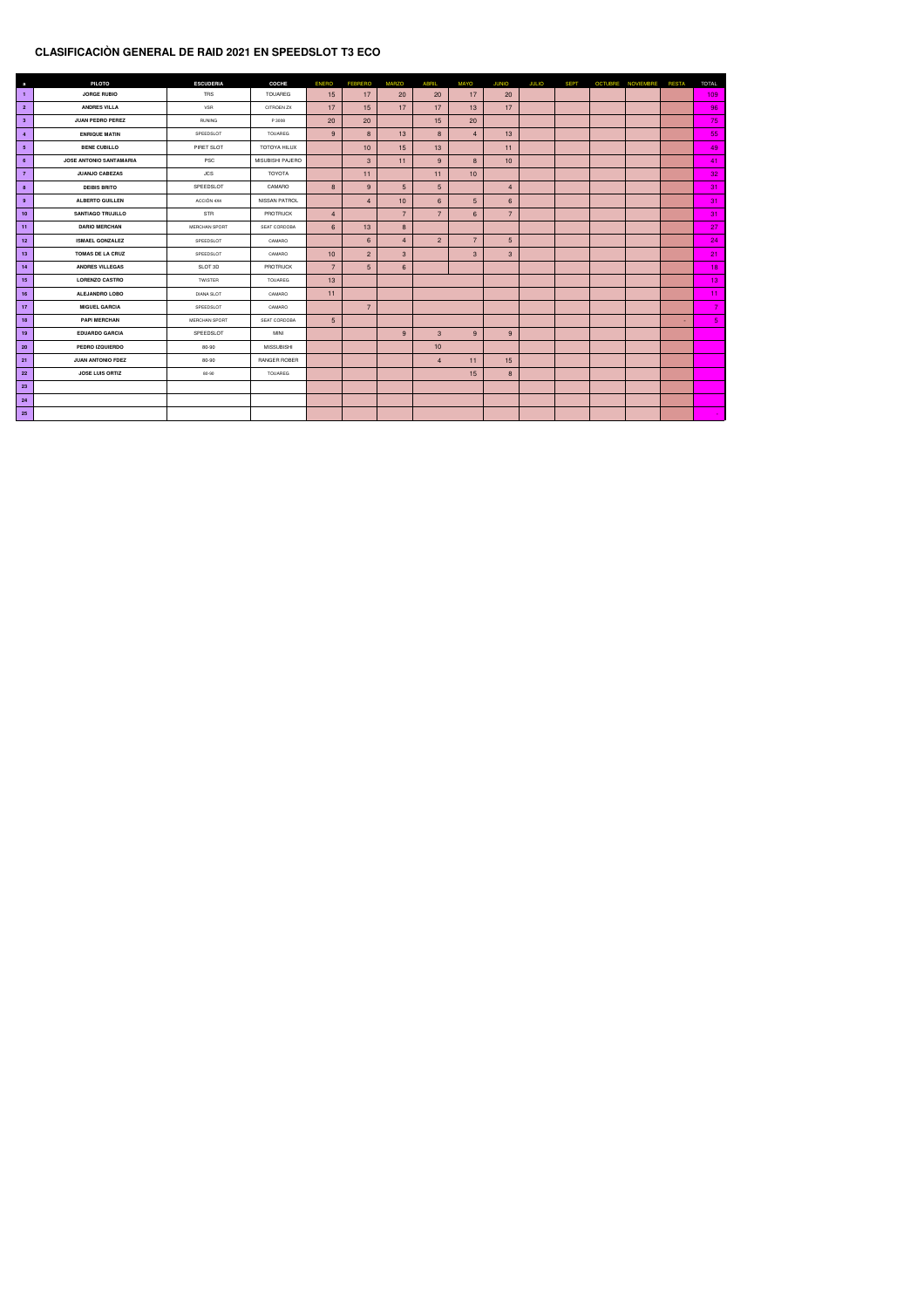### **CLASIFICACIÒN GENERAL DE RAID 2021 EN SPEEDSLOT T3 ECO**

| $\mathbf a$             | <b>PILOTO</b>            | <b>ESCUDERIA</b>  | <b>COCHE</b>         | <b>ENERO</b>    | <b>FEBRERO</b>  | <b>MARZO</b>     | <b>ABRIL</b>    | <b>MAYO</b>    | <b>JUNIO</b>    | <b>JULIO</b> | <b>SEPT</b> | <b>OCTUBRE</b> | <b>NOVIEMBRE</b> | <b>RESTA</b> | <b>TOTAL</b>    |
|-------------------------|--------------------------|-------------------|----------------------|-----------------|-----------------|------------------|-----------------|----------------|-----------------|--------------|-------------|----------------|------------------|--------------|-----------------|
| -1                      | <b>JORGE RUBIO</b>       | <b>TRS</b>        | <b>TOUAREG</b>       | 15              | 17              | 20               | 20              | 17             | 20              |              |             |                |                  |              | 109             |
| $\overline{\mathbf{2}}$ | <b>ANDRES VILLA</b>      | <b>VSR</b>        | <b>CITROEN ZX</b>    | 17              | 15              | 17               | 17              | 13             | 17              |              |             |                |                  |              | 96              |
| $\mathbf{3}$            | <b>JUAN PEDRO PEREZ</b>  | <b>RUNING</b>     | P 3008               | 20              | 20              |                  | 15              | 20             |                 |              |             |                |                  |              | 75              |
| $\overline{4}$          | <b>ENRIQUE MATIN</b>     | SPEEDSLOT         | <b>TOUAREG</b>       | 9               | 8               | 13               | 8               | $\overline{4}$ | 13              |              |             |                |                  |              | 55              |
| $5\overline{5}$         | <b>BENE CUBILLO</b>      | PIRET SLOT        | <b>TOTOYA HILUX</b>  |                 | 10 <sup>°</sup> | 15               | 13              |                | 11              |              |             |                |                  |              | 49              |
| 6                       | JOSE ANTONIO SANTAMARIA  | <b>PSC</b>        | MISUBISHI PAJERO     |                 | 3 <sup>5</sup>  | 11               | 9               | 8              | 10              |              |             |                |                  |              | 41              |
| $\overline{7}$          | <b>JUANJO CABEZAS</b>    | <b>JCS</b>        | TOYOTA               |                 | 11              |                  | 11              | 10             |                 |              |             |                |                  |              | 32              |
| 8                       | <b>DEIBIS BRITO</b>      | SPEEDSLOT         | CAMARO               | 8 <sup>°</sup>  | 9               | $5\overline{)}$  | $5\phantom{1}$  |                | $\overline{4}$  |              |             |                |                  |              | 31              |
| 9                       | <b>ALBERTO GUILLEN</b>   | ACCIÓN 4X4        | <b>NISSAN PATROL</b> |                 | $\overline{4}$  | 10               | $6\overline{6}$ | 5 <sup>5</sup> | $6\overline{6}$ |              |             |                |                  |              | 31              |
| 10                      | <b>SANTIAGO TRUJILLO</b> | STR               | <b>PROTRUCK</b>      | $\overline{4}$  |                 | $\overline{7}$   | $\overline{7}$  | 6 <sup>°</sup> | $\overline{7}$  |              |             |                |                  |              | 31              |
| $\vert$ 11              | <b>DARIO MERCHAN</b>     | MERCHAN SPORT     | SEAT CORDOBA         | $6\overline{6}$ | 13              | 8 <sup>°</sup>   |                 |                |                 |              |             |                |                  |              | 27              |
| 12                      | <b>ISMAEL GONZALEZ</b>   | SPEEDSLOT         | CAMARO               |                 | $6\overline{6}$ | $\overline{4}$   | $\overline{2}$  | $\overline{7}$ | $5\overline{)}$ |              |             |                |                  |              | 24              |
| 13                      | <b>TOMAS DE LA CRUZ</b>  | SPEEDSLOT         | CAMARO               | 10              | $\overline{2}$  | $\mathbf{3}$     |                 | $\mathbf{3}$   | 3 <sup>2</sup>  |              |             |                |                  |              | 21              |
| 14                      | <b>ANDRES VILLEGAS</b>   | SLOT 3D           | <b>PROTRUCK</b>      | $\overline{7}$  | 5 <sup>5</sup>  | $6 \overline{6}$ |                 |                |                 |              |             |                |                  |              | 18              |
| 15                      | <b>LORENZO CASTRO</b>    | <b>TWISTER</b>    | <b>TOUAREG</b>       | 13              |                 |                  |                 |                |                 |              |             |                |                  |              | 13 <sub>1</sub> |
| 16                      | <b>ALEJANDRO LOBO</b>    | <b>DIANA SLOT</b> | CAMARO               | 11              |                 |                  |                 |                |                 |              |             |                |                  |              | 11              |
| 17                      | <b>MIGUEL GARCIA</b>     | SPEEDSLOT         | CAMARO               |                 | $\overline{7}$  |                  |                 |                |                 |              |             |                |                  |              | $\overline{7}$  |
| 18                      | <b>PAPI MERCHAN</b>      | MERCHAN SPORT     | SEAT CORDOBA         | 5 <sup>1</sup>  |                 |                  |                 |                |                 |              |             |                |                  | $\sim$       | 5 <sub>1</sub>  |
| 19                      | <b>EDUARDO GARCIA</b>    | SPEEDSLOT         | <b>MINI</b>          |                 |                 | 9 <sup>°</sup>   | $\mathbf{3}$    | 9              | 9               |              |             |                |                  |              |                 |
| <b>20</b>               | PEDRO IZQUIERDO          | 80-90             | <b>MISSUBISHI</b>    |                 |                 |                  | 10              |                |                 |              |             |                |                  |              |                 |
| 21                      | <b>JUAN ANTONIO FDEZ</b> | 80-90             | <b>RANGER ROBER</b>  |                 |                 |                  | $\overline{4}$  | 11             | 15              |              |             |                |                  |              |                 |
| <b>22</b>               | <b>JOSE LUIS ORTIZ</b>   | 80-90             | <b>TOUAREG</b>       |                 |                 |                  |                 | 15             | 8 <sup>°</sup>  |              |             |                |                  |              |                 |
| 23                      |                          |                   |                      |                 |                 |                  |                 |                |                 |              |             |                |                  |              |                 |
| 24                      |                          |                   |                      |                 |                 |                  |                 |                |                 |              |             |                |                  |              |                 |
| <b>25</b>               |                          |                   |                      |                 |                 |                  |                 |                |                 |              |             |                |                  |              |                 |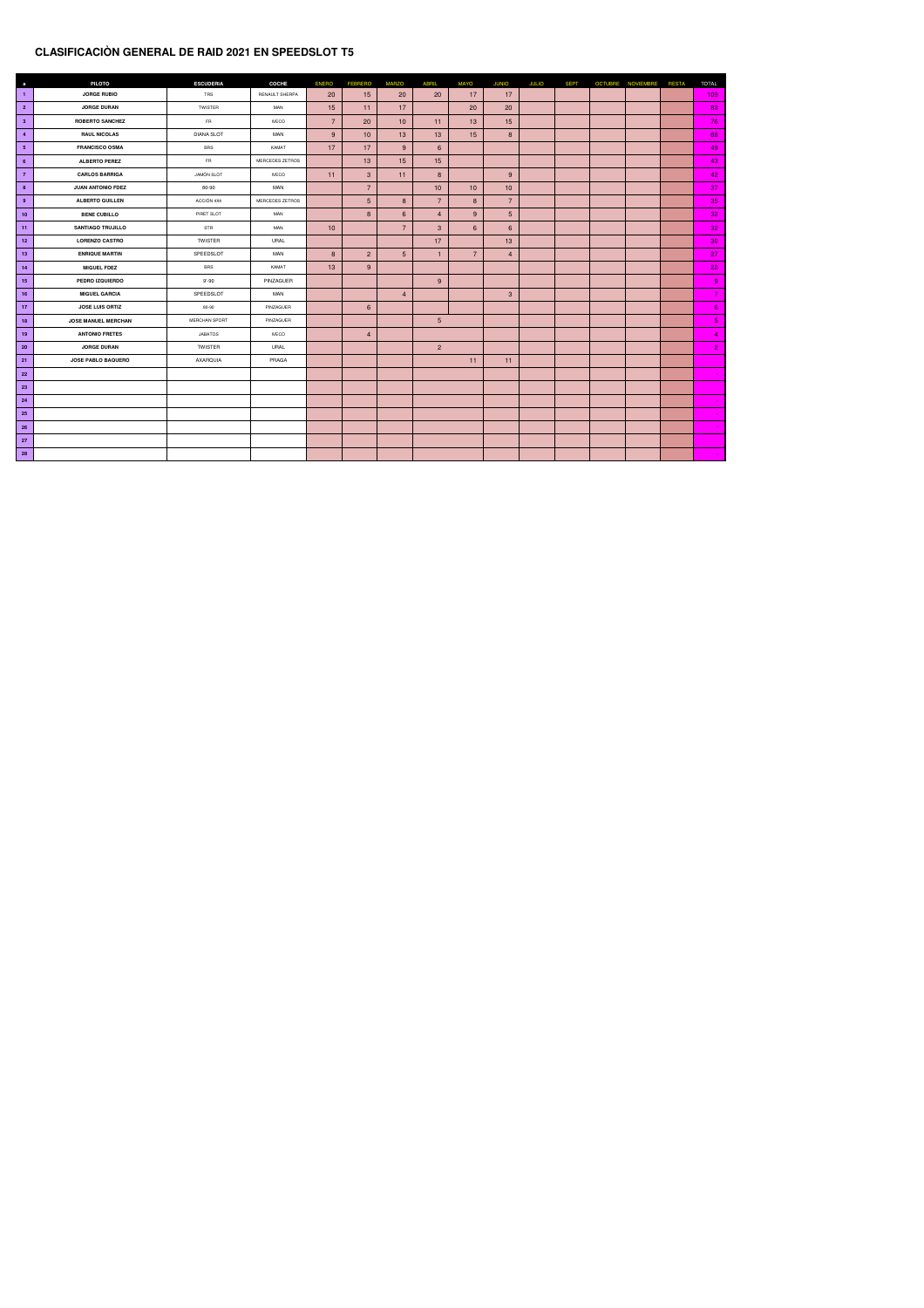#### **CLASIFICACIÒN GENERAL DE RAID 2021 EN SPEEDSLOT T5**

| $\mathbf{a}$    | <b>PILOTO</b>              | <b>ESCUDERIA</b>  | <b>COCHE</b>    | <b>ENERO</b>   | <b>FEBRERO</b>  | <b>MARZO</b>    | <b>ABRIL</b>    | <b>MAYO</b>     | <b>JUNIO</b>    | <b>JULIO</b> | <b>SEPT</b> | <b>OCTUBRE NOVIEMBRE</b> | <b>RESTA</b> | <b>TOTAL</b>    |
|-----------------|----------------------------|-------------------|-----------------|----------------|-----------------|-----------------|-----------------|-----------------|-----------------|--------------|-------------|--------------------------|--------------|-----------------|
| $\mathbf{1}$    | <b>JORGE RUBIO</b>         | <b>TRS</b>        | RENAULT SHERPA  | 20             | 15              | 20              | 20              | 17              | 17              |              |             |                          |              | 109             |
| $\overline{2}$  | <b>JORGE DURAN</b>         | <b>TWISTER</b>    | <b>MAN</b>      | 15             | 11              | 17              |                 | 20              | 20              |              |             |                          |              | 83              |
| 3 <sup>2</sup>  | <b>ROBERTO SANCHEZ</b>     | <b>FR</b>         | <b>IVECO</b>    | $\overline{7}$ | 20              | 10              | 11              | 13              | 15              |              |             |                          |              | 76              |
| $\overline{4}$  | <b>RAUL NICOLAS</b>        | <b>DIANA SLOT</b> | <b>MAN</b>      | 9              | 10              | 13              | 13              | 15              | 8 <sup>°</sup>  |              |             |                          |              | 68              |
| 5 <sub>5</sub>  | <b>FRANCISCO OSMA</b>      | <b>BRS</b>        | KAMAT           | 17             | 17              | 9               | $6\overline{6}$ |                 |                 |              |             |                          |              | 49              |
| $6\overline{6}$ | <b>ALBERTO PEREZ</b>       | <b>FR</b>         | MERCEDES ZETROS |                | 13              | 15              | 15              |                 |                 |              |             |                          |              | 43              |
| $\overline{7}$  | <b>CARLOS BARRIGA</b>      | <b>JAMÓN SLOT</b> | <b>IVECO</b>    | 11             | 3 <sup>°</sup>  | 11              | 8               |                 | 9               |              |             |                          |              | 42              |
| 8               | <b>JUAN ANTONIO FDEZ</b>   | 80-90             | MAN             |                | $\overline{7}$  |                 | 10              | 10 <sub>1</sub> | 10              |              |             |                          |              | 37              |
| 9               | <b>ALBERTO GUILLEN</b>     | ACCIÓN 4X4        | MERCEDES ZETROS |                | $5\overline{)}$ | 8 <sup>°</sup>  | $\overline{7}$  | 8 <sup>°</sup>  | $\overline{7}$  |              |             |                          |              | 35              |
| 10 <sub>1</sub> | <b>BENE CUBILLO</b>        | PIRET SLOT        | <b>MAN</b>      |                | 8 <sup>°</sup>  | $6\overline{6}$ | $\overline{4}$  | 9               | $5\overline{)}$ |              |             |                          |              | 32 <sub>2</sub> |
| 11              | <b>SANTIAGO TRUJILLO</b>   | <b>STR</b>        | <b>MAN</b>      | 10             |                 | $\overline{7}$  | 3 <sup>°</sup>  | $6\overline{6}$ | $6\overline{6}$ |              |             |                          |              | 32              |
| 12              | <b>LORENZO CASTRO</b>      | <b>TWISTER</b>    | <b>URAL</b>     |                |                 |                 | 17              |                 | 13              |              |             |                          |              | 30 <sub>o</sub> |
| 13              | <b>ENRIQUE MARTIN</b>      | SPEEDSLOT         | <b>MAN</b>      | 8 <sup>°</sup> | 2 <sup>1</sup>  | 5 <sup>5</sup>  | -1              | $\overline{7}$  | $\overline{4}$  |              |             |                          |              | 27              |
| 14              | <b>MIGUEL FDEZ</b>         | <b>BRS</b>        | KAMAT           | 13             | 9               |                 |                 |                 |                 |              |             |                          |              | 22              |
| 15              | PEDRO IZQUIERDO            | $9 - 90$          | PINZAGUER       |                |                 |                 | 9               |                 |                 |              |             |                          |              | 9               |
| 16              | <b>MIGUEL GARCIA</b>       | SPEEDSLOT         | <b>MAN</b>      |                |                 | $\overline{4}$  |                 |                 | 3 <sup>°</sup>  |              |             |                          |              | $\overline{7}$  |
| 17              | <b>JOSE LUIS ORTIZ</b>     | 80-90             | PINZAGUER       |                | $6\overline{6}$ |                 |                 |                 |                 |              |             |                          |              | 6 <sup>°</sup>  |
| 18              | <b>JOSE MANUEL MERCHAN</b> | MERCHAN SPORT     | PINZAGUER       |                |                 |                 | $5\phantom{.}$  |                 |                 |              |             |                          |              | 5 <sub>1</sub>  |
| 19              | <b>ANTONIO FRETES</b>      | <b>JABATOS</b>    | <b>IVECO</b>    |                | $\overline{4}$  |                 |                 |                 |                 |              |             |                          |              | 4               |
| 20 <sub>2</sub> | <b>JORGE DURAN</b>         | <b>TWISTER</b>    | URAL            |                |                 |                 | $\overline{2}$  |                 |                 |              |             |                          |              | $\mathbf{Z}$    |
| 21              | <b>JOSE PABLO BAQUERO</b>  | AXARQUIA          | PRAGA           |                |                 |                 |                 | 11              | 11              |              |             |                          |              |                 |
| 22 <sub>2</sub> |                            |                   |                 |                |                 |                 |                 |                 |                 |              |             |                          |              |                 |
| 23              |                            |                   |                 |                |                 |                 |                 |                 |                 |              |             |                          |              |                 |
| 24              |                            |                   |                 |                |                 |                 |                 |                 |                 |              |             |                          |              |                 |
| 25              |                            |                   |                 |                |                 |                 |                 |                 |                 |              |             |                          |              |                 |
| 26              |                            |                   |                 |                |                 |                 |                 |                 |                 |              |             |                          |              |                 |
| 27              |                            |                   |                 |                |                 |                 |                 |                 |                 |              |             |                          |              |                 |
| 28              |                            |                   |                 |                |                 |                 |                 |                 |                 |              |             |                          |              |                 |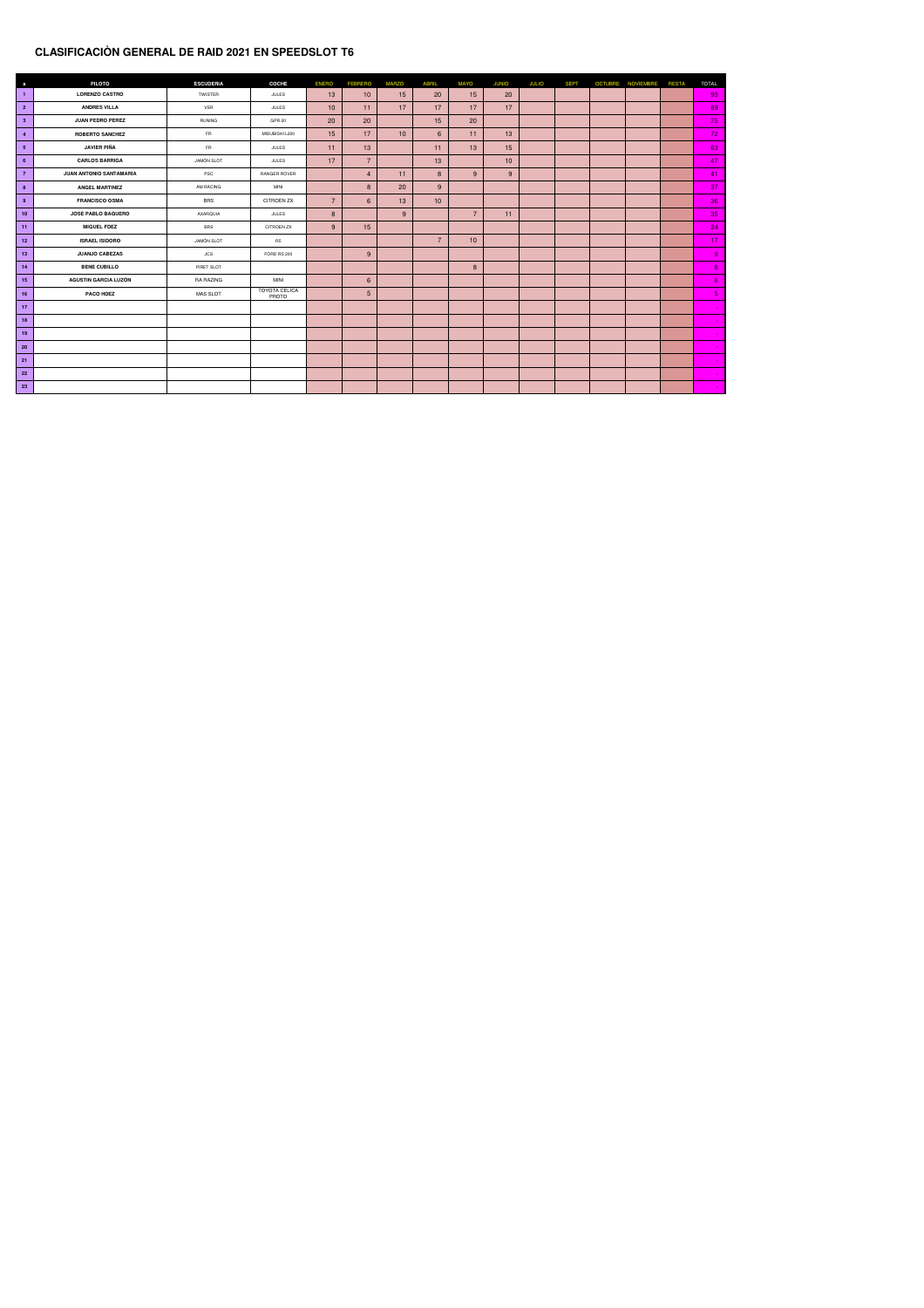# **CLASIFICACIÒN GENERAL DE RAID 2021 EN SPEEDSLOT T6**

| $\overline{a}$  | <b>PILOTO</b>               | <b>ESCUDERIA</b>  | <b>COCHE</b>                         | <b>ENERO</b>    | <b>FEBRERO</b>  | <b>MARZO</b> | <b>ABRIL</b>     | <b>MAYO</b>     | <b>JUNIO</b> | <b>JULIO</b> | <b>SEPT</b> | <b>OCTUBRE</b> | <b>NOVIEMBRE</b> | <b>RESTA</b> | <b>TOTAL</b>    |
|-----------------|-----------------------------|-------------------|--------------------------------------|-----------------|-----------------|--------------|------------------|-----------------|--------------|--------------|-------------|----------------|------------------|--------------|-----------------|
| $\vert$ 1       | <b>LORENZO CASTRO</b>       | <b>TWISTER</b>    | <b>JULES</b>                         | 13              | 10              | 15           | 20               | 15              | 20           |              |             |                |                  |              | 93              |
| $\overline{2}$  | <b>ANDRES VILLA</b>         | <b>VSR</b>        | <b>JULES</b>                         | 10 <sup>°</sup> | 11              | 17           | 17               | 17              | 17           |              |             |                |                  |              | 89              |
| $\mathbf{3}$    | <b>JUAN PEDRO PEREZ</b>     | <b>RUNING</b>     | <b>GPR 20</b>                        | 20              | 20              |              | 15               | 20              |              |              |             |                |                  |              | 75              |
| $\overline{4}$  | <b>ROBERTO SANCHEZ</b>      | <b>FR</b>         | MISUBISHI L200                       | 15              | 17              | 10           | $6 \overline{6}$ | 11              | 13           |              |             |                |                  |              | 72              |
| 5 <sub>5</sub>  | <b>JAVIER PIÑA</b>          | ${\sf FR}$        | <b>JULES</b>                         | 11              | 13              |              | 11               | 13              | 15           |              |             |                |                  |              | 63              |
| $6\overline{6}$ | <b>CARLOS BARRIGA</b>       | <b>JAMÓN SLOT</b> | <b>JULES</b>                         | 17              | $\overline{7}$  |              | 13               |                 | 10           |              |             |                |                  |              | 47              |
| $\overline{7}$  | JUAN ANTONIO SANTAMARIA     | PSC               | RANGER ROVER                         |                 | $\overline{4}$  | 11           | 8 <sup>°</sup>   | 9               | 9            |              |             |                |                  |              | 41              |
| 8               | <b>ANGEL MARTINEZ</b>       | <b>AM RACING</b>  | <b>MINI</b>                          |                 | 8 <sup>°</sup>  | 20           | 9                |                 |              |              |             |                |                  |              | 37              |
| 9               | <b>FRANCISCO OSMA</b>       | <b>BRS</b>        | <b>CITROEN ZX</b>                    | $\overline{7}$  | 6 <sup>°</sup>  | 13           | 10               |                 |              |              |             |                |                  |              | 36              |
| 10              | <b>JOSE PABLO BAQUERO</b>   | <b>AXARQUIA</b>   | <b>JULES</b>                         | 8               |                 | 9            |                  | $\overline{7}$  | 11           |              |             |                |                  |              | 35              |
| 11              | <b>MIGUEL FDEZ</b>          | <b>BRS</b>        | <b>CITROEN ZX</b>                    | 9               | 15              |              |                  |                 |              |              |             |                |                  |              | 24              |
| 12              | <b>ISRAEL ISIDORO</b>       | <b>JAMÓN SLOT</b> | R <sub>5</sub>                       |                 |                 |              | $\overline{7}$   | 10 <sup>°</sup> |              |              |             |                |                  |              | 17 <sub>2</sub> |
| 13              | <b>JUANJO CABEZAS</b>       | <b>JCS</b>        | FORD RS 200                          |                 | 9               |              |                  |                 |              |              |             |                |                  |              | 9 <sub>o</sub>  |
| 14              | <b>BENE CUBILLO</b>         | PIRET SLOT        |                                      |                 |                 |              |                  | 8               |              |              |             |                |                  |              | 8 <sub>1</sub>  |
| 15              | <b>AGUSTIN GARCIA LUZÓN</b> | RA RAZING         | <b>MINI</b>                          |                 | $6\overline{6}$ |              |                  |                 |              |              |             |                |                  |              | $6^{\circ}$     |
| 16              | <b>PACO HDEZ</b>            | <b>MAS SLOT</b>   | <b>TOYOTA CELICA</b><br><b>PROTO</b> |                 | $5\overline{)}$ |              |                  |                 |              |              |             |                |                  |              | 5 <sub>1</sub>  |
| 17              |                             |                   |                                      |                 |                 |              |                  |                 |              |              |             |                |                  |              | $\blacksquare$  |
| 18              |                             |                   |                                      |                 |                 |              |                  |                 |              |              |             |                |                  |              |                 |
| 19              |                             |                   |                                      |                 |                 |              |                  |                 |              |              |             |                |                  |              |                 |
| $20\degree$     |                             |                   |                                      |                 |                 |              |                  |                 |              |              |             |                |                  |              |                 |
| 21              |                             |                   |                                      |                 |                 |              |                  |                 |              |              |             |                |                  |              |                 |
| 22              |                             |                   |                                      |                 |                 |              |                  |                 |              |              |             |                |                  |              |                 |
| 23              |                             |                   |                                      |                 |                 |              |                  |                 |              |              |             |                |                  |              |                 |